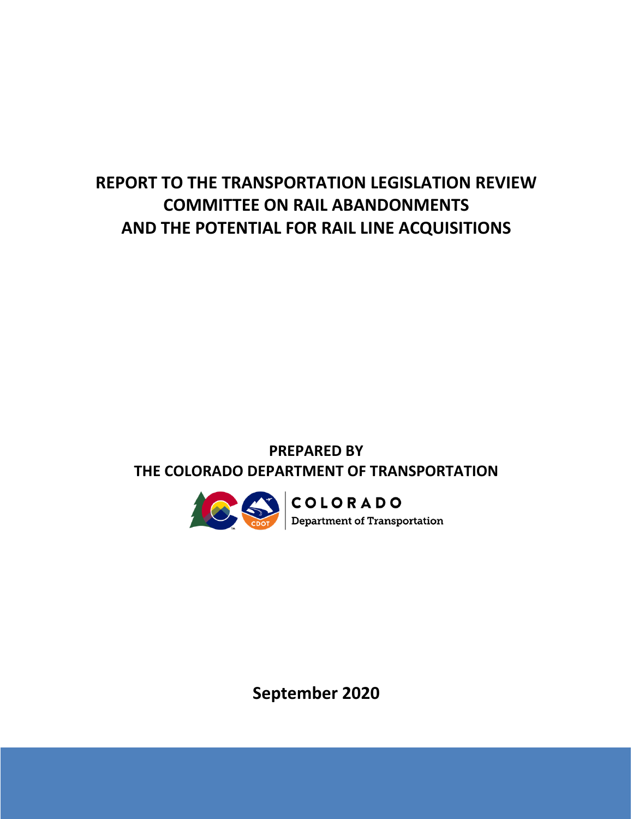# **REPORT TO THE TRANSPORTATION LEGISLATION REVIEW COMMITTEE ON RAIL ABANDONMENTS AND THE POTENTIAL FOR RAIL LINE ACQUISITIONS**

### **PREPARED BY THE COLORADO DEPARTMENT OF TRANSPORTATION**



**September 2020**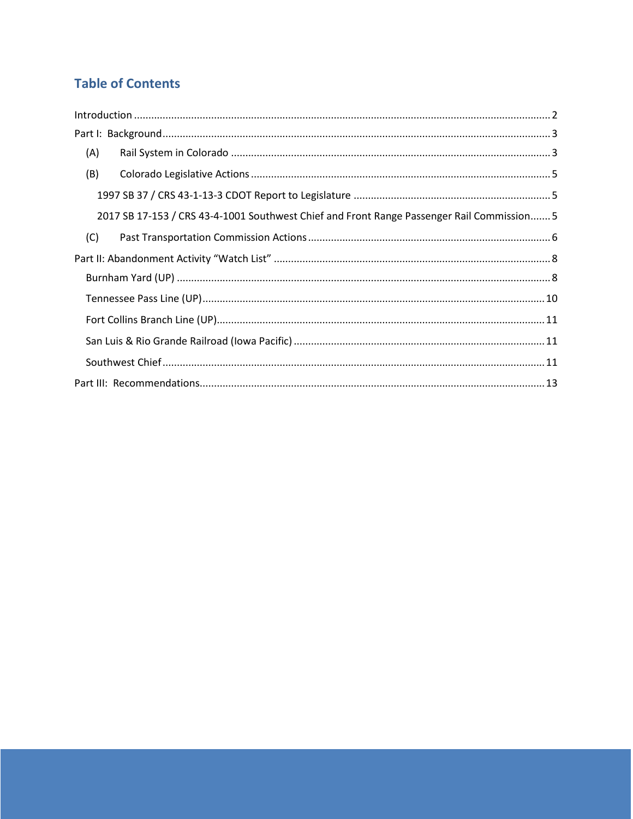### **Table of Contents**

| $\label{lem:1} \mbox{Introduction} \,\, \ldots \,\, \ldots \,\, \ldots \,\, \ldots \,\, \ldots \,\, \ldots \,\, \ldots \,\, \ldots \,\, \ldots \,\, \ldots \,\, \ldots \,\, \ldots \,\, \ldots \,\, \ldots \,\, \ldots \,\, \ldots \,\, \ldots \,\, \ldots \,\, \ldots \,\, \ldots \,\, \ldots \,\, \ldots \,\, \ldots \,\, \ldots \,\, \ldots \,\, \ldots \,\, \ldots \,\, \ldots \,\, \ldots \,\, \ldots \,\, \ldots \,\, \ldots \,\, \ldots \,\, \ldots \,\,$ |  |
|------------------------------------------------------------------------------------------------------------------------------------------------------------------------------------------------------------------------------------------------------------------------------------------------------------------------------------------------------------------------------------------------------------------------------------------------------------------|--|
|                                                                                                                                                                                                                                                                                                                                                                                                                                                                  |  |
| (A)                                                                                                                                                                                                                                                                                                                                                                                                                                                              |  |
| (B)                                                                                                                                                                                                                                                                                                                                                                                                                                                              |  |
|                                                                                                                                                                                                                                                                                                                                                                                                                                                                  |  |
| 2017 SB 17-153 / CRS 43-4-1001 Southwest Chief and Front Range Passenger Rail Commission 5                                                                                                                                                                                                                                                                                                                                                                       |  |
| (C)                                                                                                                                                                                                                                                                                                                                                                                                                                                              |  |
|                                                                                                                                                                                                                                                                                                                                                                                                                                                                  |  |
|                                                                                                                                                                                                                                                                                                                                                                                                                                                                  |  |
|                                                                                                                                                                                                                                                                                                                                                                                                                                                                  |  |
|                                                                                                                                                                                                                                                                                                                                                                                                                                                                  |  |
|                                                                                                                                                                                                                                                                                                                                                                                                                                                                  |  |
|                                                                                                                                                                                                                                                                                                                                                                                                                                                                  |  |
|                                                                                                                                                                                                                                                                                                                                                                                                                                                                  |  |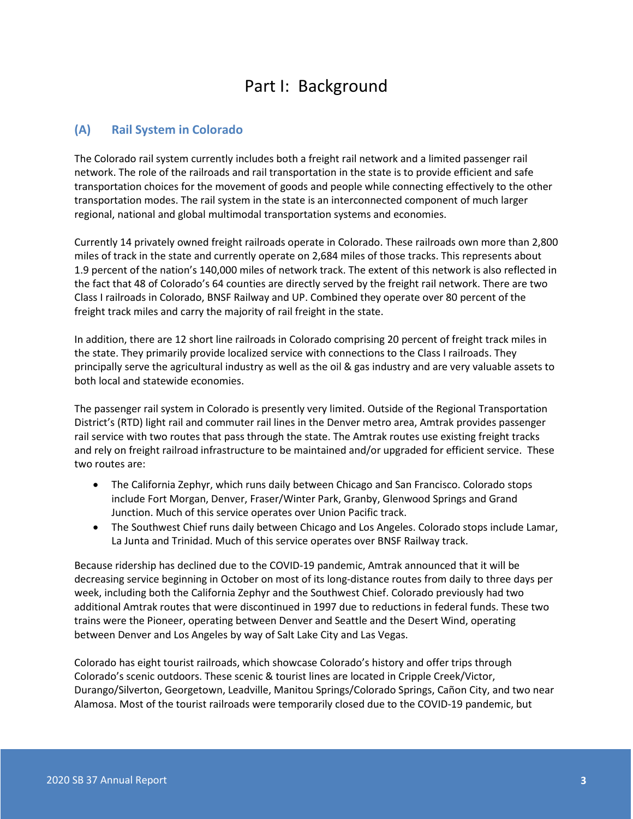## Part I: Background

### <span id="page-3-1"></span><span id="page-3-0"></span>**(A) Rail System in Colorado**

The Colorado rail system currently includes both a freight rail network and a limited passenger rail network. The role of the railroads and rail transportation in the state is to provide efficient and safe transportation choices for the movement of goods and people while connecting effectively to the other transportation modes. The rail system in the state is an interconnected component of much larger regional, national and global multimodal transportation systems and economies.

Currently 14 privately owned freight railroads operate in Colorado. These railroads own more than 2,800 miles of track in the state and currently operate on 2,684 miles of those tracks. This represents about 1.9 percent of the nation's 140,000 miles of network track. The extent of this network is also reflected in the fact that 48 of Colorado's 64 counties are directly served by the freight rail network. There are two Class I railroads in Colorado, BNSF Railway and UP. Combined they operate over 80 percent of the freight track miles and carry the majority of rail freight in the state.

In addition, there are 12 short line railroads in Colorado comprising 20 percent of freight track miles in the state. They primarily provide localized service with connections to the Class I railroads. They principally serve the agricultural industry as well as the oil & gas industry and are very valuable assets to both local and statewide economies.

The passenger rail system in Colorado is presently very limited. Outside of the Regional Transportation District's (RTD) light rail and commuter rail lines in the Denver metro area, Amtrak provides passenger rail service with two routes that pass through the state. The Amtrak routes use existing freight tracks and rely on freight railroad infrastructure to be maintained and/or upgraded for efficient service. These two routes are:

- The California Zephyr, which runs daily between Chicago and San Francisco. Colorado stops include Fort Morgan, Denver, Fraser/Winter Park, Granby, Glenwood Springs and Grand Junction. Much of this service operates over Union Pacific track.
- The Southwest Chief runs daily between Chicago and Los Angeles. Colorado stops include Lamar, La Junta and Trinidad. Much of this service operates over BNSF Railway track.

Because ridership has declined due to the COVID-19 pandemic, Amtrak announced that it will be decreasing service beginning in October on most of its long-distance routes from daily to three days per week, including both the California Zephyr and the Southwest Chief. Colorado previously had two additional Amtrak routes that were discontinued in 1997 due to reductions in federal funds. These two trains were the Pioneer, operating between Denver and Seattle and the Desert Wind, operating between Denver and Los Angeles by way of Salt Lake City and Las Vegas.

Colorado has eight tourist railroads, which showcase Colorado's history and offer trips through Colorado's scenic outdoors. These scenic & tourist lines are located in Cripple Creek/Victor, Durango/Silverton, Georgetown, Leadville, Manitou Springs/Colorado Springs, Cañon City, and two near Alamosa. Most of the tourist railroads were temporarily closed due to the COVID-19 pandemic, but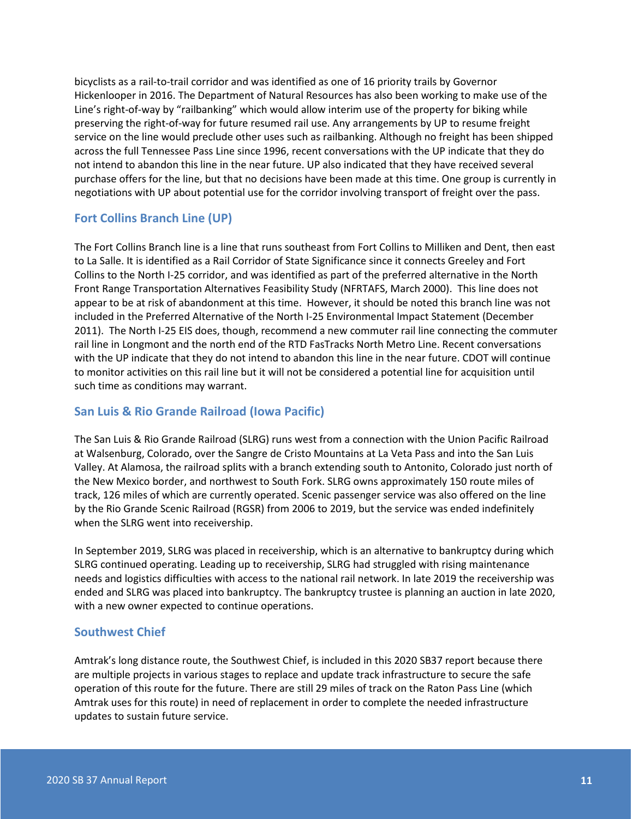bicyclists as a rail-to-trail corridor and was identified as one of 16 priority trails by Governor Hickenlooper in 2016. The Department of Natural Resources has also been working to make use of the Gine's right-of-way by "railbanking" which would allow interim use of the property for biking while preserving the right-of-way for future resumed rail use. Any arrangements by UP to resume freight service on the line would preclude other uses such as railbanking. Although no freight has been shipped across the full Tennessee Pass dine since 1996, recent conversations with the UP indicate that they do not intend to abandon this line in the near future. UP also indicated that they have received several purchase offers for the line, but that no decisions have been made at this time. One group is currently in negotiations with UP about potential use for the corridor involving transport of freight over the pass.

#### <span id="page-11-0"></span>**Fort Collins Branch Line (UP)**

The Fort Collins Branch line runs southeast from Fort Collins to Milliken and Dent, then east to La Salle. It is identified as a Rail Corridor of State Significance since it connects Greeley and Fort Collins to the North I-25 corridor, and was identified as part of the preferred alternative in the North Front Range Transportation Alternatives Feasibility Study (NFRTAFS, March 2000). This line does not appear to be at risk of abandonment at this time. However, it should be noted this branch line was not included in the Preferred Alternative of the North I-25 Environmental Impact Statement (December 2011). The North I-25 EIS does, ZZ recommend a new commuter rail line connecting the Zdrahar commuter rail line in Longmont and the north end of the RTD FasTracks North Metro Line. Recent conversations with the UP indicate that they do not intend to abandon this line in the near future. CDOT will continue to monitor activities on this rail line but it will not be considered a potential line for acquisition until such time as conditions may warrant.

#### <span id="page-11-1"></span>**San Luis & Rio Grande Railroad (Iowa Pacific)**

The San Luis & Rio Grande Railroad (SLRG) runs west from a connection with the Union Pacific Railroad at Walsenburg, Colorado, over the Sangre de Cristo Mountains at La Veta Pass and into the San Luis Valley. At Alamosa, the railroad splits with a branch extending south to Antonito, ColoradoDjust north of the New Mexico border, and northwest to South Fork. SLRG owns approximately 150 route miles of track, 126 miles of which are currently operated. Scenic passenger service was also offered on the line by the Rio Grande Scenic Railroad (RGSR) from 2006 to 2019, but the service was anded indefinitely when the SLRG went into receivership.

In September 2019, SLRG was placed in receivership, an alternative to bankruptcy<sup>p</sup> during which SLRG continued operating. Leading up to receivership, SLRG had struggled with rising maintenance needs and logistics difficulties with access to the national rail network. In late 2019 the receivership was ended and SLRG was placed into bankruptcy. The bankruptcy trustee is planning an auction in late 2020, with a new owner expected to continue operations.

#### <span id="page-11-2"></span>**Southwest Chief**

Amtrak's long distance route, the Southwest Chief, is included in this 2020 SB37 report because there are multiple projects in various stages to replace and update track infrastructure to secure the safe operation of this route for the future. There are still 29 miles of track on the Raton Pass Line (which Amtrak uses for this route) in need of replacement in order to complete the needed infrastructure updates to sustain future service.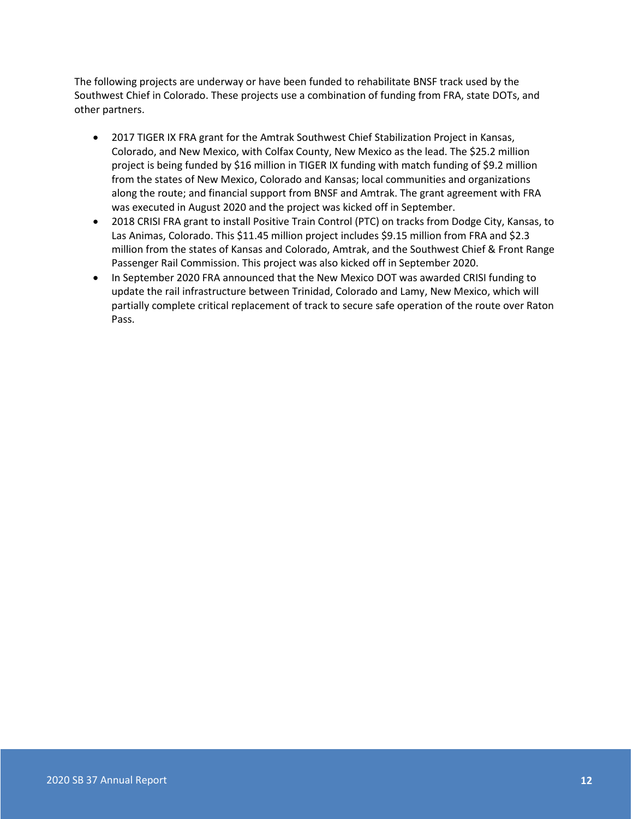The following projects are underway or have been funded to rehabilitate BNSF track used by the Southwest Chief in Colorado. These projects use a combination of funding from FRA, state DOTs, and other partners.

- 2017 TIGER IX FRA grant for the Amtrak Southwest Chief Stabilization Project in Kansas, Colorado, and New Mexico, with Colfax County, New Mexico, as the lead. The \$25.2 million project is being funded by \$16 million in TIGER IX funding with match funding of \$9.2 million from the states of New Mexico, Colorado and Kansas; local communities and organizations along the route; and financial support from BNSF and Amtrak. The grant agreement with FRA was executed in August 2020 and the project was kicked off in September.
- 2018 CRISI FRA grant to install Positive Train Control (PTC) on tracks from Dodge City, Kansas, to Las Animas, Colorado. This \$11.45 million project includes \$9.15 million from FRA and \$2.3 million from the states of Kansas and Colorado, Amtrak, and the Southwest Chief & Front Range Passenger Rail Commission. This project was also kicked off in September 2020.
- In September 2020 FRA announced that the New Mexico DOT was awarded CRISI funding to update the rail infrastructure between Trinidad, Colorado, and Lamy, New Mexico, which will partially complete critical replacement of track to secure safe operation of the route over Raton Pass.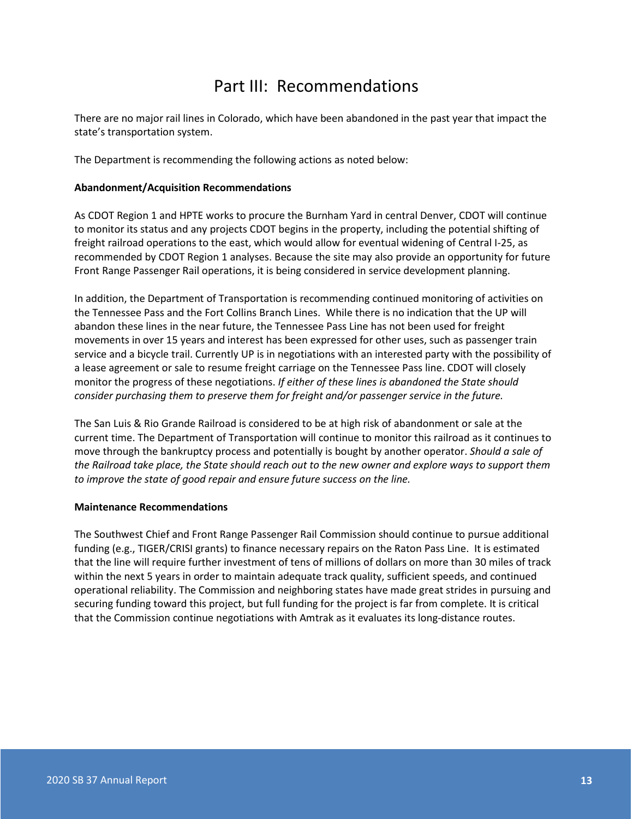### Part III: Recommendations

<span id="page-13-0"></span>There are no major rail lines in Colorado which have been abandoned in the past year that impact the state's transportation system.

The Department is recommending the following actions:

#### **Abandonment/Acquisition Recommendations**

As CDOT Region 1 and HPTE works to procure the Burnham Yard in central Denver, CDOT will continue to monitor its status and any projects CDOT begins in the property, including the potential shifting of freight railroad operations to the east, which would allow for eventual widening of Central I-25, as recommended by CDOT Region 1 analyses. Because the site may also provide an opportunity for future Front Range Passenger Rail operations, it is being considered in service development planning.

In addition, the Department of Transportation is recommending continued monitoring of activities on the Tennessee Pass and the Fort Collins Branch lines. While there is no indication that the UP will abandon these lines in the near future, the Tennessee Pass line has not been used for freight movements in over 15 years and interest has been expressed for other uses, such as passenger train service and a bicycle trail. Currently UP is in negotiations with an interested party with the possibility of a lease agreement or sale to resume freight carriage on the Tennessee Pass line. CDOT will closely monitor the progress of these negotiations. *If either of these lines is abandoned the State should consider purchasing them to preserve them for freight and/or passenger service in the future.*

The San Luis & Rio Grande Railroad is considered to be at high risk of abandonment or sale at the current time. The Department of Transportation will continue to monitor this railroad as it continues to move through the bankruptcy process and potentially is bought by another operator. *Should a sale of the Railroad take place, the State should reach out to the new owner and explore ways to support them to improve the state of good repair and ensure future success on the line.*

#### **Maintenance Recommendations**

The Southwest Chief and Front Range Passenger Rail Commission should continue to pursue additional funding (e.g., TIGER/CRISI grants) to finance necessary repairs on the Raton Pass Line. It is estimated that the line will require further investment of tens of millions of dollars on as much as 30 miles of track within the next 5 years in order to maintain adequate track quality, sufficient speeds, and continued operational passenger service reliability. The Commission and neighboring states have made great strides in pursuing and securing funding toward this project, but full funding for the project is far from complete. It is critical that the Commission continue negotiations with Amtrak as it evaluates its long-distance routes.